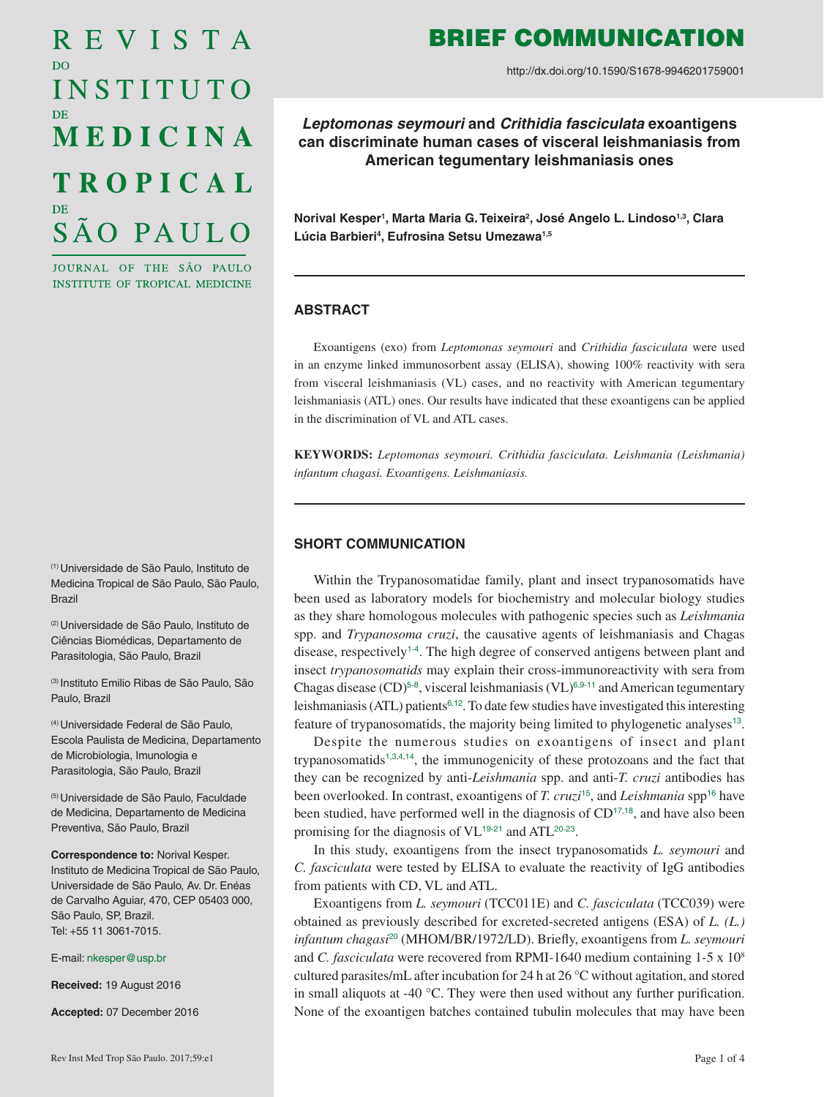# REVISTA D<sub>O</sub> INSTITUTO MEDICINA **TROPICAL** SÃO PAULO

JOURNAL OF THE SÃO PAULO INSTITUTE OF TROPICAL MEDICINE

(1) Universidade de São Paulo, Instituto de Medicina Tropical de São Paulo, São Paulo, Brazil

(2) Universidade de São Paulo, Instituto de Ciências Biomédicas, Departamento de Parasitologia, São Paulo, Brazil

(3) Instituto Emilio Ribas de São Paulo, São Paulo, Brazil

(4) Universidade Federal de São Paulo, Escola Paulista de Medicina, Departamento de Microbiologia, Imunologia e Parasitologia, São Paulo, Brazil

(5) Universidade de São Paulo, Faculdade de Medicina, Departamento de Medicina Preventiva, São Paulo, Brazil

**Correspondence to:** Norival Kesper. Instituto de Medicina Tropical de São Paulo, Universidade de São Paulo, Av. Dr. Enéas de Carvalho Aguiar, 470, CEP 05403 000, São Paulo, SP, Brazil. Tel: +55 11 3061-7015.

E-mail: [nkesper@usp.br](mailto:nkesper%40usp.br?subject=)

**Received:** 19 August 2016

**Accepted:** 07 December 2016

## BRIEF COMMUNICATION

http://dx.doi.org/10.1590/S1678-9946201759001

*Leptomonas seymouri* **and** *Crithidia fasciculata* **exoantigens can discriminate human cases of visceral leishmaniasis from American tegumentary leishmaniasis ones**

**Norival Kesper1 , Marta Maria G. Teixeira2 , José Angelo L. Lindoso1,3, Clara**  Lúcia Barbieri<sup>4</sup>, Eufrosina Setsu Umezawa<sup>1,5</sup>

#### **ABSTRACT**

Exoantigens (exo) from *Leptomonas seymouri* and *Crithidia fasciculata* were used in an enzyme linked immunosorbent assay (ELISA), showing 100% reactivity with sera from visceral leishmaniasis (VL) cases, and no reactivity with American tegumentary leishmaniasis (ATL) ones. Our results have indicated that these exoantigens can be applied in the discrimination of VL and ATL cases.

**KEYWORDS:** *Leptomonas seymouri. Crithidia fasciculata. Leishmania (Leishmania) infantum chagasi. Exoantigens. Leishmaniasis.*

#### **SHORT COMMUNICATION**

<span id="page-0-2"></span><span id="page-0-0"></span>Within the Trypanosomatidae family, plant and insect trypanosomatids have been used as laboratory models for biochemistry and molecular biology studies as they share homologous molecules with pathogenic species such as *Leishmania*  spp. and *Trypanosoma cruzi*, the causative agents of leishmaniasis and Chagas disease, respectively<sup>[1](#page-2-0)-[4](#page-3-0)</sup>. The high degree of conserved antigens between plant and insect *trypanosomatids* may explain their cross-immunoreactivity with sera from Chagas disease  $(CD)^{5-8}$  $(CD)^{5-8}$  $(CD)^{5-8}$  $(CD)^{5-8}$  $(CD)^{5-8}$ , visceral leishmaniasis  $(VL)^{6,9-11}$  $(VL)^{6,9-11}$  $(VL)^{6,9-11}$  $(VL)^{6,9-11}$  $(VL)^{6,9-11}$  $(VL)^{6,9-11}$  $(VL)^{6,9-11}$  and American tegumentary leishmaniasis (ATL) patients<sup> $6,12$  $6,12$  $6,12$ </sup>. To date few studies have investigated this interesting feature of trypanosomatids, the majority being limited to phylogenetic analyses<sup>[13](#page-3-7)</sup>.

<span id="page-0-12"></span><span id="page-0-11"></span><span id="page-0-10"></span><span id="page-0-9"></span><span id="page-0-8"></span><span id="page-0-7"></span><span id="page-0-6"></span><span id="page-0-5"></span><span id="page-0-4"></span><span id="page-0-3"></span><span id="page-0-1"></span>Despite the numerous studies on exoantigens of insect and plant trypanosomatids<sup>[1](#page-2-0),[3](#page-3-8),[4](#page-3-0),[14](#page-3-9)</sup>, the immunogenicity of these protozoans and the fact that they can be recognized by anti-*Leishmania* spp. and anti-*T. cruzi* antibodies has been overlooked. In contrast, exoantigens of *T. cruzi*[15](#page-3-10), and *Leishmania* spp[16](#page-3-11) have been studied, have performed well in the diagnosis of  $CD^{17,18}$  $CD^{17,18}$  $CD^{17,18}$  $CD^{17,18}$  $CD^{17,18}$ , and have also been promising for the diagnosis of  $VL^{19-21}$  $VL^{19-21}$  $VL^{19-21}$  $VL^{19-21}$  $VL^{19-21}$  and  $ATL^{20-23}$  $ATL^{20-23}$  $ATL^{20-23}$  $ATL^{20-23}$  $ATL^{20-23}$ .

<span id="page-0-18"></span><span id="page-0-17"></span><span id="page-0-16"></span><span id="page-0-15"></span><span id="page-0-14"></span><span id="page-0-13"></span>In this study, exoantigens from the insect trypanosomatids *L. seymouri* and *C. fasciculata* were tested by ELISA to evaluate the reactivity of IgG antibodies from patients with CD, VL and ATL.

Exoantigens from *L. seymouri* (TCC011E) and *C. fasciculata* (TCC039) were obtained as previously described for excreted-secreted antigens (ESA) of *L. (L.) infantum chagasi*[20](#page-3-16) (MHOM/BR/1972/LD). Briefly, exoantigens from *L. seymouri*  and *C. fasciculata* were recovered from RPMI-1640 medium containing 1-5 x 108 cultured parasites/mL after incubation for 24 h at 26 °C without agitation, and stored in small aliquots at -40 °C. They were then used without any further purification. None of the exoantigen batches contained tubulin molecules that may have been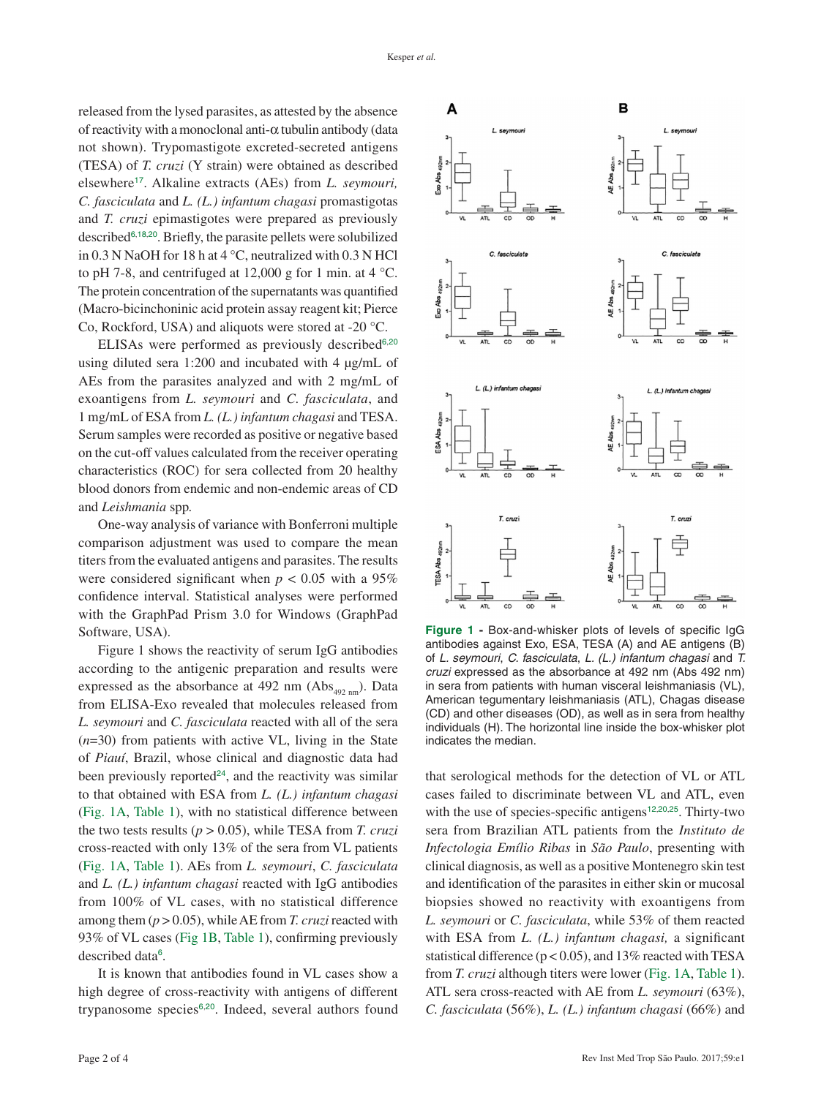released from the lysed parasites, as attested by the absence of reactivity with a monoclonal anti-α tubulin antibody (data not shown). Trypomastigote excreted-secreted antigens (TESA) of *T. cruzi* (Y strain) were obtained as described elsewhere[17](#page-3-12). Alkaline extracts (AEs) from *L. seymouri, C. fasciculata* and *L. (L.) infantum chagasi* promastigotas and *T. cruzi* epimastigotes were prepared as previously described[6](#page-3-3),[18](#page-3-13),[20](#page-3-16). Briefly, the parasite pellets were solubilized in 0.3 N NaOH for 18 h at 4 °C, neutralized with 0.3 N HCl to pH 7-8, and centrifuged at 12,000 g for 1 min. at 4 °C. The protein concentration of the supernatants was quantified (Macro-bicinchoninic acid protein assay reagent kit; Pierce Co, Rockford, USA) and aliquots were stored at -20 °C.

ELISAs were performed as previously described $6,20$  $6,20$  $6,20$ using diluted sera 1:200 and incubated with 4 µg/mL of AEs from the parasites analyzed and with 2 mg/mL of exoantigens from *L. seymouri* and *C. fasciculata*, and 1 mg/mL of ESA from *L. (L.) infantum chagasi* and TESA. Serum samples were recorded as positive or negative based on the cut-off values calculated from the receiver operating characteristics (ROC) for sera collected from 20 healthy blood donors from endemic and non-endemic areas of CD and *Leishmania* spp*.*

One-way analysis of variance with Bonferroni multiple comparison adjustment was used to compare the mean titers from the evaluated antigens and parasites. The results were considered significant when  $p < 0.05$  with a 95% confidence interval. Statistical analyses were performed with the GraphPad Prism 3.0 for Windows (GraphPad Software, USA).

<span id="page-1-2"></span><span id="page-1-1"></span>Figure 1 shows the reactivity of serum IgG antibodies according to the antigenic preparation and results were expressed as the absorbance at 492 nm  $(Abs_{_{492 \text{ nm}}})$ . Data from ELISA-Exo revealed that molecules released from *L. seymouri* and *C. fasciculata* reacted with all of the sera (*n*=30) from patients with active VL, living in the State of *Piauí*, Brazil, whose clinical and diagnostic data had been previously reported<sup>[24](#page-3-18)</sup>, and the reactivity was similar to that obtained with ESA from *L. (L.) infantum chagasi* [\(Fig. 1A](#page-1-0), [Table 1\)](#page-2-1), with no statistical difference between the two tests results (*p* > 0.05), while TESA from *T. cruzi* cross-reacted with only 13% of the sera from VL patients [\(Fig. 1A](#page-1-0), [Table 1\)](#page-2-1). AEs from *L. seymouri*, *C. fasciculata* and *L. (L.) infantum chagasi* reacted with IgG antibodies from 100% of VL cases, with no statistical difference among them  $(p > 0.05)$ , while AE from *T. cruzi* reacted with 93% of VL cases [\(Fig 1B](#page-1-0), [Table 1](#page-2-1)), confirming previously described data<sup>[6](#page-3-3)</sup>.

It is known that antibodies found in VL cases show a high degree of cross-reactivity with antigens of different trypanosome species<sup>[6](#page-3-3),[20](#page-3-16)</sup>. Indeed, several authors found



<span id="page-1-0"></span>**[Figure 1](#page-1-1) -** Box-and-whisker plots of levels of specific IgG antibodies against Exo, ESA, TESA (A) and AE antigens (B) of *L. seymouri*, *C. fasciculata*, *L. (L.) infantum chagasi* and *T. cruzi* expressed as the absorbance at 492 nm (Abs 492 nm) in sera from patients with human visceral leishmaniasis (VL), American tegumentary leishmaniasis (ATL), Chagas disease (CD) and other diseases (OD), as well as in sera from healthy individuals (H). The horizontal line inside the box-whisker plot indicates the median.

<span id="page-1-4"></span><span id="page-1-3"></span>that serological methods for the detection of VL or ATL cases failed to discriminate between VL and ATL, even with the use of species-specific antigens<sup>[12](#page-3-6),[20](#page-3-16),[25](#page-3-19)</sup>. Thirty-two sera from Brazilian ATL patients from the *Instituto de Infectologia Emílio Ribas* in *São Paulo*, presenting with clinical diagnosis, as well as a positive Montenegro skin test and identification of the parasites in either skin or mucosal biopsies showed no reactivity with exoantigens from *L. seymouri* or *C. fasciculata*, while 53% of them reacted with ESA from *L. (L.) infantum chagasi,* a significant statistical difference ( $p < 0.05$ ), and 13% reacted with TESA from *T. cruzi* although titers were lower [\(Fig. 1A](#page-1-0), [Table 1\)](#page-2-1). ATL sera cross-reacted with AE from *L. seymouri* (63%), *C. fasciculata* (56%), *L. (L.) infantum chagasi* (66%) and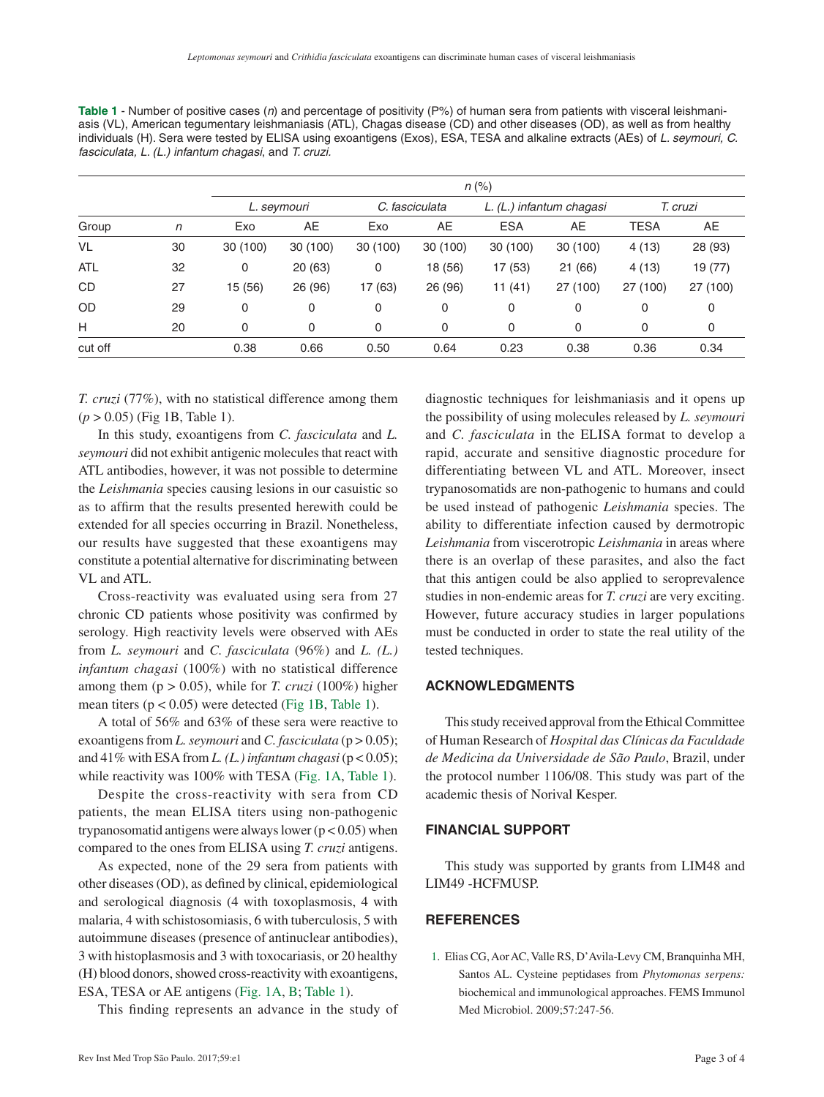| Group      |              | $n$ (%)     |          |                |         |                          |          |             |          |
|------------|--------------|-------------|----------|----------------|---------|--------------------------|----------|-------------|----------|
|            | $\mathsf{n}$ | L. seymouri |          | C. fasciculata |         | L. (L.) infantum chagasi |          | T. cruzi    |          |
|            |              | Exo         | AE       | Exo            | AE      | <b>ESA</b>               | AE       | <b>TESA</b> | AE       |
| VL         | 30           | 30 (100)    | 30 (100) | 30(100)        | 30(100) | 30(100)                  | 30 (100) | 4(13)       | 28 (93)  |
| <b>ATL</b> | 32           | 0           | 20 (63)  | 0              | 18 (56) | 17 (53)                  | 21(66)   | 4(13)       | 19 (77)  |
| <b>CD</b>  | 27           | 15 (56)     | 26 (96)  | 17 (63)        | 26 (96) | 11(41)                   | 27 (100) | 27 (100)    | 27 (100) |
| <b>OD</b>  | 29           | 0           | 0        | 0              | 0       | 0                        | 0        | 0           | 0        |
| H          | 20           | 0           | 0        | 0              | 0       | 0                        | 0        | 0           | 0        |
| cut off    |              | 0.38        | 0.66     | 0.50           | 0.64    | 0.23                     | 0.38     | 0.36        | 0.34     |

<span id="page-2-1"></span>**[Table 1](#page-1-2)** - Number of positive cases (*n*) and percentage of positivity (P%) of human sera from patients with visceral leishmaniasis (VL), American tegumentary leishmaniasis (ATL), Chagas disease (CD) and other diseases (OD), as well as from healthy individuals (H). Sera were tested by ELISA using exoantigens (Exos), ESA, TESA and alkaline extracts (AEs) of *L. seymouri, C. fasciculata, L. (L.) infantum chagasi*, and *T. cruzi.*

*T. cruzi* (77%), with no statistical difference among them (*p* > 0.05) (Fig 1B, Table 1).

In this study, exoantigens from *C. fasciculata* and *L. seymouri* did not exhibit antigenic molecules that react with ATL antibodies, however, it was not possible to determine the *Leishmania* species causing lesions in our casuistic so as to affirm that the results presented herewith could be extended for all species occurring in Brazil. Nonetheless, our results have suggested that these exoantigens may constitute a potential alternative for discriminating between VL and ATL.

Cross-reactivity was evaluated using sera from 27 chronic CD patients whose positivity was confirmed by serology. High reactivity levels were observed with AEs from *L. seymouri* and *C. fasciculata* (96%) and *L. (L.) infantum chagasi* (100%) with no statistical difference among them ( $p > 0.05$ ), while for *T. cruzi* (100%) higher mean titers  $(p < 0.05)$  were detected ([Fig 1B](#page-1-0), [Table 1\)](#page-2-1).

A total of 56% and 63% of these sera were reactive to exoantigens from *L. seymouri* and *C. fasciculata* (p > 0.05); and  $41\%$  with ESA from *L.* (*L.*) infantum chagasi ( $p < 0.05$ ); while reactivity was 100% with TESA [\(Fig. 1A,](#page-1-0) [Table 1\)](#page-2-1).

Despite the cross-reactivity with sera from CD patients, the mean ELISA titers using non-pathogenic trypanosomatid antigens were always lower  $(p < 0.05)$  when compared to the ones from ELISA using *T. cruzi* antigens.

As expected, none of the 29 sera from patients with other diseases (OD), as defined by clinical, epidemiological and serological diagnosis (4 with toxoplasmosis, 4 with malaria, 4 with schistosomiasis, 6 with tuberculosis, 5 with autoimmune diseases (presence of antinuclear antibodies), 3 with histoplasmosis and 3 with toxocariasis, or 20 healthy (H) blood donors, showed cross-reactivity with exoantigens, ESA, TESA or AE antigens [\(Fig. 1A,](#page-1-0) [B](#page-1-0); [Table 1\)](#page-2-1).

This finding represents an advance in the study of

diagnostic techniques for leishmaniasis and it opens up the possibility of using molecules released by *L. seymouri* and *C. fasciculata* in the ELISA format to develop a rapid, accurate and sensitive diagnostic procedure for differentiating between VL and ATL. Moreover, insect trypanosomatids are non-pathogenic to humans and could be used instead of pathogenic *Leishmania* species. The ability to differentiate infection caused by dermotropic *Leishmania* from viscerotropic *Leishmania* in areas where there is an overlap of these parasites, and also the fact that this antigen could be also applied to seroprevalence studies in non-endemic areas for *T. cruzi* are very exciting. However, future accuracy studies in larger populations must be conducted in order to state the real utility of the tested techniques.

### **ACKNOWLEDGMENTS**

This study received approval from the Ethical Committee of Human Research of *Hospital das Clínicas da Faculdade de Medicina da Universidade de São Paulo*, Brazil, under the protocol number 1106/08. This study was part of the academic thesis of Norival Kesper.

#### **FINANCIAL SUPPORT**

This study was supported by grants from LIM48 and LIM49 -HCFMUSP.

### **REFERENCES**

<span id="page-2-0"></span>[1](#page-0-0). Elias CG, Aor AC, Valle RS, D'Avila-Levy CM, Branquinha MH, Santos AL. Cysteine peptidases from *Phytomonas serpens:* biochemical and immunological approaches. FEMS Immunol Med Microbiol. 2009;57:247-56.